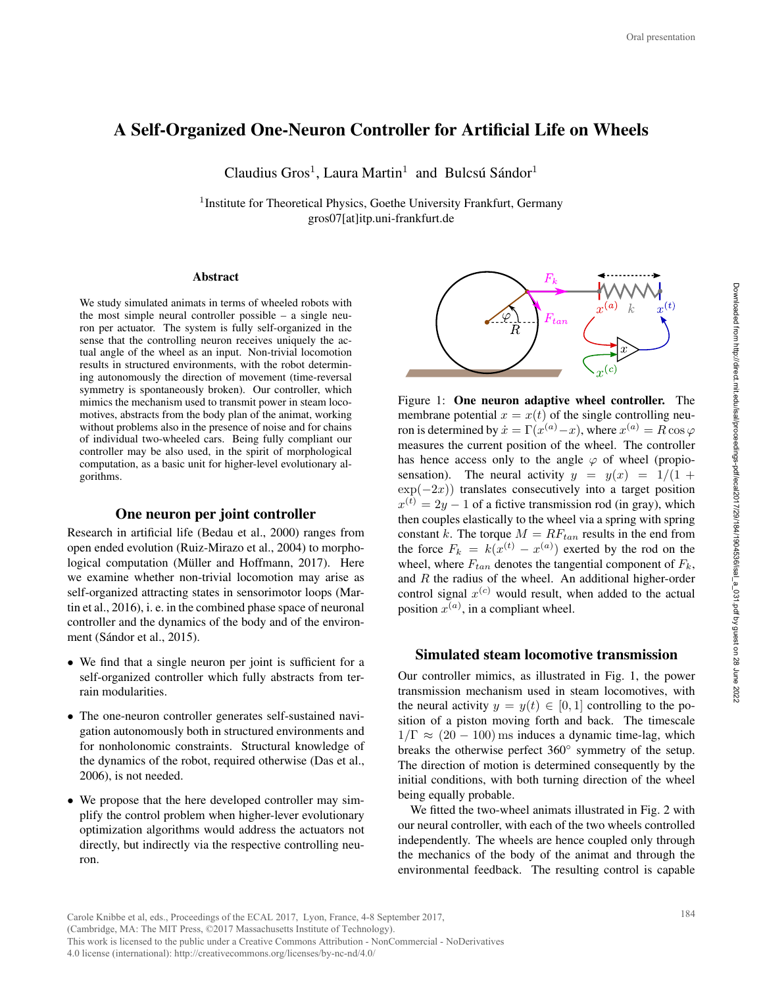# A Self-Organized One-Neuron Controller for Artificial Life on Wheels

Claudius Gros<sup>1</sup>, Laura Martin<sup>1</sup> and Bulcsú Sándor<sup>1</sup>

<sup>1</sup> Institute for Theoretical Physics, Goethe University Frankfurt, Germany gros07[at]itp.uni-frankfurt.de

#### Abstract

We study simulated animats in terms of wheeled robots with the most simple neural controller possible – a single neuron per actuator. The system is fully self-organized in the sense that the controlling neuron receives uniquely the actual angle of the wheel as an input. Non-trivial locomotion results in structured environments, with the robot determining autonomously the direction of movement (time-reversal symmetry is spontaneously broken). Our controller, which mimics the mechanism used to transmit power in steam locomotives, abstracts from the body plan of the animat, working without problems also in the presence of noise and for chains of individual two-wheeled cars. Being fully compliant our controller may be also used, in the spirit of morphological computation, as a basic unit for higher-level evolutionary algorithms.

## One neuron per joint controller

Research in artificial life (Bedau et al., 2000) ranges from open ended evolution (Ruiz-Mirazo et al., 2004) to morphological computation (Müller and Hoffmann, 2017). Here we examine whether non-trivial locomotion may arise as self-organized attracting states in sensorimotor loops (Martin et al., 2016), i. e. in the combined phase space of neuronal controller and the dynamics of the body and of the environment (Sándor et al., 2015).

- We find that a single neuron per joint is sufficient for a self-organized controller which fully abstracts from terrain modularities.
- The one-neuron controller generates self-sustained navigation autonomously both in structured environments and for nonholonomic constraints. Structural knowledge of the dynamics of the robot, required otherwise (Das et al., 2006), is not needed.
- We propose that the here developed controller may simplify the control problem when higher-lever evolutionary optimization algorithms would address the actuators not directly, but indirectly via the respective controlling neuron.



Figure 1: One neuron adaptive wheel controller. The membrane potential  $x = x(t)$  of the single controlling neuron is determined by  $\dot{x} = \Gamma(x^{(a)} - x)$ , where  $x^{(a)} = R \cos \varphi$ measures the current position of the wheel. The controller has hence access only to the angle  $\varphi$  of wheel (propiosensation). The neural activity  $y = y(x) = 1/(1 +$  $\exp(-2x)$  translates consecutively into a target position  $x^{(t)} = 2y - 1$  of a fictive transmission rod (in gray), which then couples elastically to the wheel via a spring with spring constant k. The torque  $M = RF_{tan}$  results in the end from the force  $F_k = k(x^{(t)} - x^{(a)})$  exerted by the rod on the wheel, where  $F_{tan}$  denotes the tangential component of  $F_k$ , and R the radius of the wheel. An additional higher-order control signal  $x^{(c)}$  would result, when added to the actual position  $x^{(a)}$ , in a compliant wheel. Oral presentation<br> **Example 184 Oral presentation**<br>  $k$   $x^{(t)}$ <br>  $x^{(t)}$ <br>  $x^{(t)}$ <br>  $x^{(t)}$ <br>  $x^{(t)}$ <br>  $x^{(t)}$ <br>  $x^{(t)}$ <br>  $x^{(t)}$ <br>  $x^{(t)}$ <br>  $x^{(t)}$ <br>  $x^{(t)}$ <br>  $x^{(t)}$ <br>  $x^{(t)}$ <br>  $x^{(t)}$ <br>  $x^{(t)}$ <br>  $x^{(t)}$ <br>  $x^{(t)}$ <br>  $x^{(t)}$ <br>  $x^{$ 

## Simulated steam locomotive transmission

Our controller mimics, as illustrated in Fig. 1, the power transmission mechanism used in steam locomotives, with the neural activity  $y = y(t) \in [0, 1]$  controlling to the position of a piston moving forth and back. The timescale  $1/\Gamma \approx (20 - 100)$  ms induces a dynamic time-lag, which breaks the otherwise perfect 360° symmetry of the setup. The direction of motion is determined consequently by the initial conditions, with both turning direction of the wheel being equally probable.

We fitted the two-wheel animats illustrated in Fig. 2 with our neural controller, with each of the two wheels controlled independently. The wheels are hence coupled only through the mechanics of the body of the animat and through the environmental feedback. The resulting control is capable

Carole Knibbe et al, eds., Proceedings of the ECAL 2017, Lyon, France, 4-8 September 2017, (Cambridge, MA: The MIT Press, ©2017 Massachusetts Institute of Technology). This work is licensed to the public under a Creative Commons Attribution - NonCommercial - NoDerivatives 4.0 license (international): http://creativecommons.org/licenses/by-nc-nd/4.0/